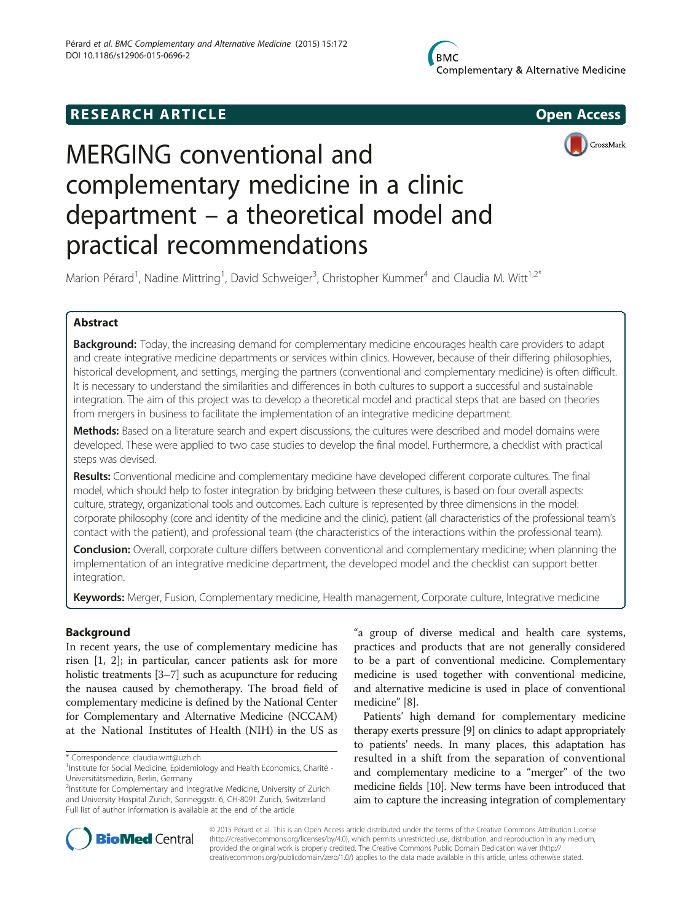## **RESEARCH ARTICLE Example 2014 12:30 The SEAR CHA RTICLE**





# MERGING conventional and complementary medicine in a clinic department – a theoretical model and practical recommendations

Marion Pérard<sup>1</sup>, Nadine Mittring<sup>1</sup>, David Schweiger<sup>3</sup>, Christopher Kummer<sup>4</sup> and Claudia M. Witt<sup>1,2\*</sup>

## Abstract

**Background:** Today, the increasing demand for complementary medicine encourages health care providers to adapt and create integrative medicine departments or services within clinics. However, because of their differing philosophies, historical development, and settings, merging the partners (conventional and complementary medicine) is often difficult. It is necessary to understand the similarities and differences in both cultures to support a successful and sustainable integration. The aim of this project was to develop a theoretical model and practical steps that are based on theories from mergers in business to facilitate the implementation of an integrative medicine department.

Methods: Based on a literature search and expert discussions, the cultures were described and model domains were developed. These were applied to two case studies to develop the final model. Furthermore, a checklist with practical steps was devised.

Results: Conventional medicine and complementary medicine have developed different corporate cultures. The final model, which should help to foster integration by bridging between these cultures, is based on four overall aspects: culture, strategy, organizational tools and outcomes. Each culture is represented by three dimensions in the model: corporate philosophy (core and identity of the medicine and the clinic), patient (all characteristics of the professional team's contact with the patient), and professional team (the characteristics of the interactions within the professional team).

**Conclusion:** Overall, corporate culture differs between conventional and complementary medicine; when planning the implementation of an integrative medicine department, the developed model and the checklist can support better integration.

Keywords: Merger, Fusion, Complementary medicine, Health management, Corporate culture, Integrative medicine

## Background

In recent years, the use of complementary medicine has risen [\[1](#page-6-0), [2](#page-6-0)]; in particular, cancer patients ask for more holistic treatments [\[3](#page-6-0)–[7](#page-6-0)] such as acupuncture for reducing the nausea caused by chemotherapy. The broad field of complementary medicine is defined by the National Center for Complementary and Alternative Medicine (NCCAM) at the National Institutes of Health (NIH) in the US as

"a group of diverse medical and health care systems, practices and products that are not generally considered to be a part of conventional medicine. Complementary medicine is used together with conventional medicine, and alternative medicine is used in place of conventional medicine" [\[8](#page-6-0)].

Patients' high demand for complementary medicine therapy exerts pressure [\[9](#page-6-0)] on clinics to adapt appropriately to patients' needs. In many places, this adaptation has resulted in a shift from the separation of conventional and complementary medicine to a "merger" of the two medicine fields [\[10](#page-6-0)]. New terms have been introduced that aim to capture the increasing integration of complementary



© 2015 Pérard et al. This is an Open Access article distributed under the terms of the Creative Commons Attribution License [\(http://creativecommons.org/licenses/by/4.0\)](http://creativecommons.org/licenses/by/4.0), which permits unrestricted use, distribution, and reproduction in any medium, provided the original work is properly credited. The Creative Commons Public Domain Dedication waiver [\(http://](http://creativecommons.org/publicdomain/zero/1.0/) [creativecommons.org/publicdomain/zero/1.0/\)](http://creativecommons.org/publicdomain/zero/1.0/) applies to the data made available in this article, unless otherwise stated.

<sup>\*</sup> Correspondence: [claudia.witt@uzh.ch](mailto:claudia.witt@uzh.ch) <sup>1</sup>

<sup>&</sup>lt;sup>1</sup> Institute for Social Medicine, Epidemiology and Health Economics, Charité -Universitätsmedizin, Berlin, Germany

<sup>&</sup>lt;sup>2</sup>Institute for Complementary and Integrative Medicine, University of Zurich and University Hospital Zurich, Sonneggstr. 6, CH-8091 Zurich, Switzerland Full list of author information is available at the end of the article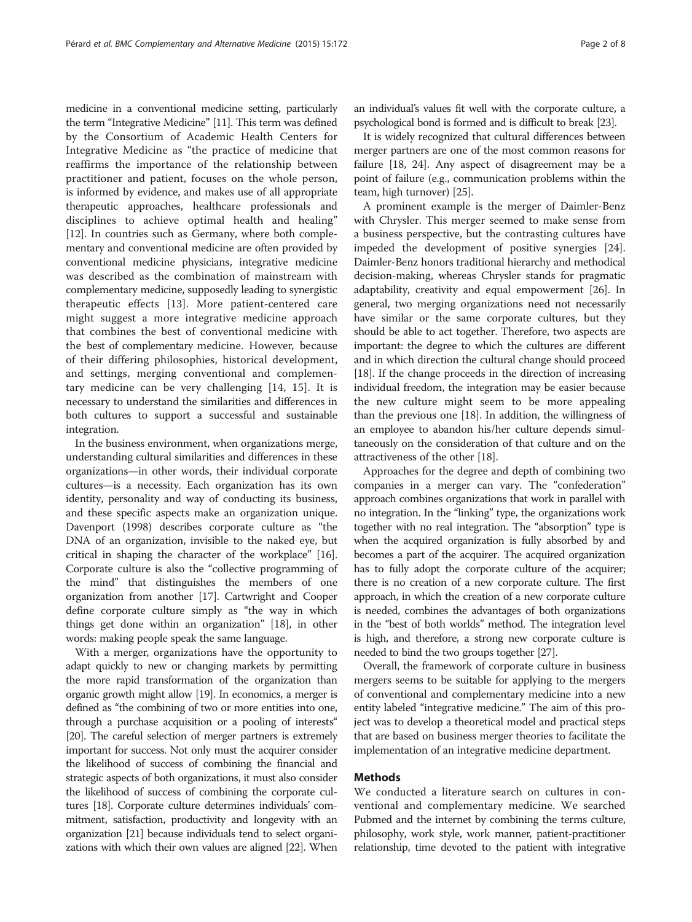medicine in a conventional medicine setting, particularly the term "Integrative Medicine" [\[11\]](#page-6-0). This term was defined by the Consortium of Academic Health Centers for Integrative Medicine as "the practice of medicine that reaffirms the importance of the relationship between practitioner and patient, focuses on the whole person, is informed by evidence, and makes use of all appropriate therapeutic approaches, healthcare professionals and disciplines to achieve optimal health and healing" [[12](#page-6-0)]. In countries such as Germany, where both complementary and conventional medicine are often provided by conventional medicine physicians, integrative medicine was described as the combination of mainstream with complementary medicine, supposedly leading to synergistic therapeutic effects [[13\]](#page-6-0). More patient-centered care might suggest a more integrative medicine approach that combines the best of conventional medicine with the best of complementary medicine. However, because of their differing philosophies, historical development, and settings, merging conventional and complementary medicine can be very challenging [\[14](#page-6-0), [15\]](#page-6-0). It is necessary to understand the similarities and differences in both cultures to support a successful and sustainable integration.

In the business environment, when organizations merge, understanding cultural similarities and differences in these organizations—in other words, their individual corporate cultures—is a necessity. Each organization has its own identity, personality and way of conducting its business, and these specific aspects make an organization unique. Davenport (1998) describes corporate culture as "the DNA of an organization, invisible to the naked eye, but critical in shaping the character of the workplace" [[16](#page-6-0)]. Corporate culture is also the "collective programming of the mind" that distinguishes the members of one organization from another [\[17\]](#page-6-0). Cartwright and Cooper define corporate culture simply as "the way in which things get done within an organization" [\[18\]](#page-6-0), in other words: making people speak the same language.

With a merger, organizations have the opportunity to adapt quickly to new or changing markets by permitting the more rapid transformation of the organization than organic growth might allow [\[19\]](#page-6-0). In economics, a merger is defined as "the combining of two or more entities into one, through a purchase acquisition or a pooling of interests" [[20](#page-6-0)]. The careful selection of merger partners is extremely important for success. Not only must the acquirer consider the likelihood of success of combining the financial and strategic aspects of both organizations, it must also consider the likelihood of success of combining the corporate cultures [\[18](#page-6-0)]. Corporate culture determines individuals' commitment, satisfaction, productivity and longevity with an organization [\[21\]](#page-6-0) because individuals tend to select organizations with which their own values are aligned [\[22](#page-6-0)]. When

an individual's values fit well with the corporate culture, a psychological bond is formed and is difficult to break [[23](#page-6-0)].

It is widely recognized that cultural differences between merger partners are one of the most common reasons for failure [\[18, 24\]](#page-6-0). Any aspect of disagreement may be a point of failure (e.g., communication problems within the team, high turnover) [[25](#page-6-0)].

A prominent example is the merger of Daimler-Benz with Chrysler. This merger seemed to make sense from a business perspective, but the contrasting cultures have impeded the development of positive synergies [\[24](#page-6-0)]. Daimler-Benz honors traditional hierarchy and methodical decision-making, whereas Chrysler stands for pragmatic adaptability, creativity and equal empowerment [\[26](#page-6-0)]. In general, two merging organizations need not necessarily have similar or the same corporate cultures, but they should be able to act together. Therefore, two aspects are important: the degree to which the cultures are different and in which direction the cultural change should proceed [[18](#page-6-0)]. If the change proceeds in the direction of increasing individual freedom, the integration may be easier because the new culture might seem to be more appealing than the previous one [\[18\]](#page-6-0). In addition, the willingness of an employee to abandon his/her culture depends simultaneously on the consideration of that culture and on the attractiveness of the other [\[18\]](#page-6-0).

Approaches for the degree and depth of combining two companies in a merger can vary. The "confederation" approach combines organizations that work in parallel with no integration. In the "linking" type, the organizations work together with no real integration. The "absorption" type is when the acquired organization is fully absorbed by and becomes a part of the acquirer. The acquired organization has to fully adopt the corporate culture of the acquirer; there is no creation of a new corporate culture. The first approach, in which the creation of a new corporate culture is needed, combines the advantages of both organizations in the "best of both worlds" method. The integration level is high, and therefore, a strong new corporate culture is needed to bind the two groups together [[27](#page-6-0)].

Overall, the framework of corporate culture in business mergers seems to be suitable for applying to the mergers of conventional and complementary medicine into a new entity labeled "integrative medicine." The aim of this project was to develop a theoretical model and practical steps that are based on business merger theories to facilitate the implementation of an integrative medicine department.

## Methods

We conducted a literature search on cultures in conventional and complementary medicine. We searched Pubmed and the internet by combining the terms culture, philosophy, work style, work manner, patient-practitioner relationship, time devoted to the patient with integrative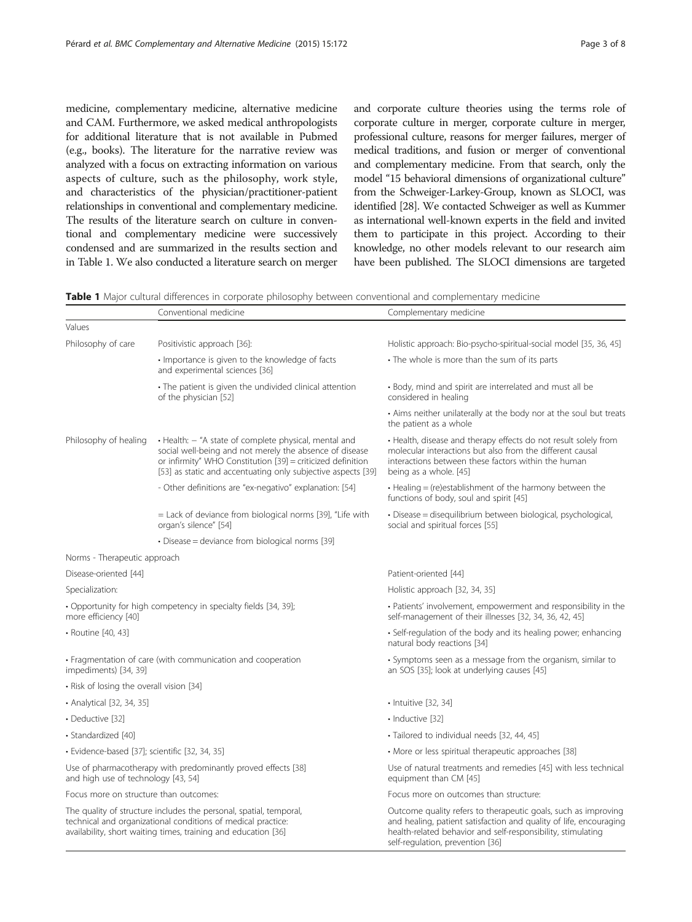<span id="page-2-0"></span>medicine, complementary medicine, alternative medicine and CAM. Furthermore, we asked medical anthropologists for additional literature that is not available in Pubmed (e.g., books). The literature for the narrative review was analyzed with a focus on extracting information on various aspects of culture, such as the philosophy, work style, and characteristics of the physician/practitioner-patient relationships in conventional and complementary medicine. The results of the literature search on culture in conventional and complementary medicine were successively condensed and are summarized in the results section and in Table 1. We also conducted a literature search on merger and corporate culture theories using the terms role of corporate culture in merger, corporate culture in merger, professional culture, reasons for merger failures, merger of medical traditions, and fusion or merger of conventional and complementary medicine. From that search, only the model "15 behavioral dimensions of organizational culture" from the Schweiger-Larkey-Group, known as SLOCI, was identified [\[28](#page-6-0)]. We contacted Schweiger as well as Kummer as international well-known experts in the field and invited them to participate in this project. According to their knowledge, no other models relevant to our research aim have been published. The SLOCI dimensions are targeted

Table 1 Major cultural differences in corporate philosophy between conventional and complementary medicine

|                                                                                                                                                                                                      | Conventional medicine                                                                                                                                                                                                                           | Complementary medicine                                                                                                                                                                                                                  |
|------------------------------------------------------------------------------------------------------------------------------------------------------------------------------------------------------|-------------------------------------------------------------------------------------------------------------------------------------------------------------------------------------------------------------------------------------------------|-----------------------------------------------------------------------------------------------------------------------------------------------------------------------------------------------------------------------------------------|
| Values                                                                                                                                                                                               |                                                                                                                                                                                                                                                 |                                                                                                                                                                                                                                         |
| Philosophy of care                                                                                                                                                                                   | Positivistic approach [36]:                                                                                                                                                                                                                     | Holistic approach: Bio-psycho-spiritual-social model [35, 36, 45]                                                                                                                                                                       |
|                                                                                                                                                                                                      | • Importance is given to the knowledge of facts<br>and experimental sciences [36]                                                                                                                                                               | • The whole is more than the sum of its parts                                                                                                                                                                                           |
|                                                                                                                                                                                                      | • The patient is given the undivided clinical attention<br>of the physician [52]                                                                                                                                                                | • Body, mind and spirit are interrelated and must all be<br>considered in healing                                                                                                                                                       |
|                                                                                                                                                                                                      |                                                                                                                                                                                                                                                 | • Aims neither unilaterally at the body nor at the soul but treats<br>the patient as a whole                                                                                                                                            |
| Philosophy of healing                                                                                                                                                                                | · Health: - "A state of complete physical, mental and<br>social well-being and not merely the absence of disease<br>or infirmity" WHO Constitution [39] = criticized definition<br>[53] as static and accentuating only subjective aspects [39] | • Health, disease and therapy effects do not result solely from<br>molecular interactions but also from the different causal<br>interactions between these factors within the human<br>being as a whole. [45]                           |
|                                                                                                                                                                                                      | - Other definitions are "ex-negativo" explanation: [54]                                                                                                                                                                                         | • Healing = (re)establishment of the harmony between the<br>functions of body, soul and spirit [45]                                                                                                                                     |
|                                                                                                                                                                                                      | = Lack of deviance from biological norms [39], "Life with<br>organ's silence" [54]                                                                                                                                                              | · Disease = disequilibrium between biological, psychological,<br>social and spiritual forces [55]                                                                                                                                       |
|                                                                                                                                                                                                      | • Disease = deviance from biological norms [39]                                                                                                                                                                                                 |                                                                                                                                                                                                                                         |
| Norms - Therapeutic approach                                                                                                                                                                         |                                                                                                                                                                                                                                                 |                                                                                                                                                                                                                                         |
| Disease-oriented [44]                                                                                                                                                                                |                                                                                                                                                                                                                                                 | Patient-oriented [44]                                                                                                                                                                                                                   |
| Specialization:                                                                                                                                                                                      |                                                                                                                                                                                                                                                 | Holistic approach [32, 34, 35]                                                                                                                                                                                                          |
| • Opportunity for high competency in specialty fields [34, 39];<br>more efficiency [40]                                                                                                              |                                                                                                                                                                                                                                                 | • Patients' involvement, empowerment and responsibility in the<br>self-management of their illnesses [32, 34, 36, 42, 45]                                                                                                               |
| · Routine [40, 43]                                                                                                                                                                                   |                                                                                                                                                                                                                                                 | • Self-regulation of the body and its healing power; enhancing<br>natural body reactions [34]                                                                                                                                           |
| • Fragmentation of care (with communication and cooperation<br>impediments) [34, 39]                                                                                                                 |                                                                                                                                                                                                                                                 | • Symptoms seen as a message from the organism, similar to<br>an SOS [35]; look at underlying causes [45]                                                                                                                               |
| • Risk of losing the overall vision [34]                                                                                                                                                             |                                                                                                                                                                                                                                                 |                                                                                                                                                                                                                                         |
| • Analytical [32, 34, 35]                                                                                                                                                                            |                                                                                                                                                                                                                                                 | $\cdot$ Intuitive [32, 34]                                                                                                                                                                                                              |
| • Deductive [32]                                                                                                                                                                                     |                                                                                                                                                                                                                                                 | · Inductive [32]                                                                                                                                                                                                                        |
| · Standardized [40]                                                                                                                                                                                  |                                                                                                                                                                                                                                                 | · Tailored to individual needs [32, 44, 45]                                                                                                                                                                                             |
| · Evidence-based [37]; scientific [32, 34, 35]                                                                                                                                                       |                                                                                                                                                                                                                                                 | • More or less spiritual therapeutic approaches [38]                                                                                                                                                                                    |
| Use of pharmacotherapy with predominantly proved effects [38]<br>and high use of technology [43, 54]                                                                                                 |                                                                                                                                                                                                                                                 | Use of natural treatments and remedies [45] with less technical<br>equipment than CM [45]                                                                                                                                               |
| Focus more on structure than outcomes:                                                                                                                                                               |                                                                                                                                                                                                                                                 | Focus more on outcomes than structure:                                                                                                                                                                                                  |
| The quality of structure includes the personal, spatial, temporal,<br>technical and organizational conditions of medical practice:<br>availability, short waiting times, training and education [36] |                                                                                                                                                                                                                                                 | Outcome quality refers to therapeutic goals, such as improving<br>and healing, patient satisfaction and quality of life, encouraging<br>health-related behavior and self-responsibility, stimulating<br>self-requlation prevention [36] |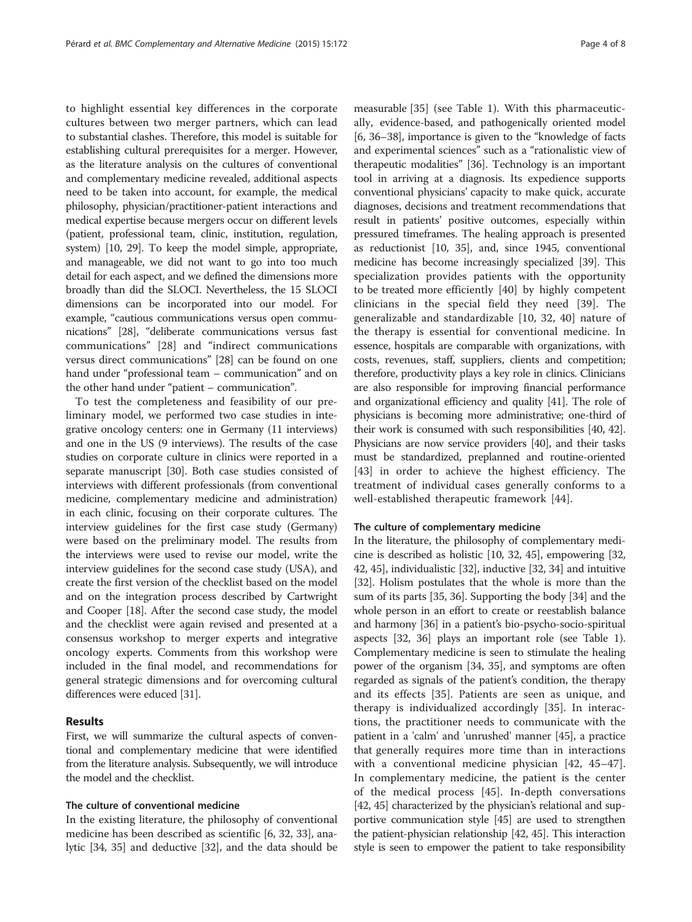to highlight essential key differences in the corporate cultures between two merger partners, which can lead to substantial clashes. Therefore, this model is suitable for establishing cultural prerequisites for a merger. However, as the literature analysis on the cultures of conventional and complementary medicine revealed, additional aspects need to be taken into account, for example, the medical philosophy, physician/practitioner-patient interactions and medical expertise because mergers occur on different levels (patient, professional team, clinic, institution, regulation, system) [[10](#page-6-0), [29\]](#page-6-0). To keep the model simple, appropriate, and manageable, we did not want to go into too much detail for each aspect, and we defined the dimensions more broadly than did the SLOCI. Nevertheless, the 15 SLOCI dimensions can be incorporated into our model. For example, "cautious communications versus open communications" [[28](#page-6-0)], "deliberate communications versus fast communications" [[28\]](#page-6-0) and "indirect communications versus direct communications" [\[28](#page-6-0)] can be found on one hand under "professional team – communication" and on the other hand under "patient – communication".

To test the completeness and feasibility of our preliminary model, we performed two case studies in integrative oncology centers: one in Germany (11 interviews) and one in the US (9 interviews). The results of the case studies on corporate culture in clinics were reported in a separate manuscript [\[30\]](#page-6-0). Both case studies consisted of interviews with different professionals (from conventional medicine, complementary medicine and administration) in each clinic, focusing on their corporate cultures. The interview guidelines for the first case study (Germany) were based on the preliminary model. The results from the interviews were used to revise our model, write the interview guidelines for the second case study (USA), and create the first version of the checklist based on the model and on the integration process described by Cartwright and Cooper [\[18](#page-6-0)]. After the second case study, the model and the checklist were again revised and presented at a consensus workshop to merger experts and integrative oncology experts. Comments from this workshop were included in the final model, and recommendations for general strategic dimensions and for overcoming cultural differences were educed [\[31\]](#page-6-0).

## Results

First, we will summarize the cultural aspects of conventional and complementary medicine that were identified from the literature analysis. Subsequently, we will introduce the model and the checklist.

### The culture of conventional medicine

In the existing literature, the philosophy of conventional medicine has been described as scientific [\[6](#page-6-0), [32, 33\]](#page-7-0), analytic [\[34, 35](#page-7-0)] and deductive [\[32\]](#page-7-0), and the data should be

measurable [\[35](#page-7-0)] (see Table [1\)](#page-2-0). With this pharmaceutically, evidence-based, and pathogenically oriented model [[6,](#page-6-0) [36](#page-7-0)–[38\]](#page-7-0), importance is given to the "knowledge of facts and experimental sciences" such as a "rationalistic view of therapeutic modalities" [\[36\]](#page-7-0). Technology is an important tool in arriving at a diagnosis. Its expedience supports conventional physicians' capacity to make quick, accurate diagnoses, decisions and treatment recommendations that result in patients' positive outcomes, especially within pressured timeframes. The healing approach is presented as reductionist [[10](#page-6-0), [35\]](#page-7-0), and, since 1945, conventional medicine has become increasingly specialized [\[39](#page-7-0)]. This specialization provides patients with the opportunity to be treated more efficiently [\[40](#page-7-0)] by highly competent clinicians in the special field they need [[39\]](#page-7-0). The generalizable and standardizable [[10,](#page-6-0) [32, 40](#page-7-0)] nature of the therapy is essential for conventional medicine. In essence, hospitals are comparable with organizations, with costs, revenues, staff, suppliers, clients and competition; therefore, productivity plays a key role in clinics. Clinicians are also responsible for improving financial performance and organizational efficiency and quality [\[41\]](#page-7-0). The role of physicians is becoming more administrative; one-third of their work is consumed with such responsibilities [\[40, 42](#page-7-0)]. Physicians are now service providers [\[40\]](#page-7-0), and their tasks must be standardized, preplanned and routine-oriented [[43\]](#page-7-0) in order to achieve the highest efficiency. The treatment of individual cases generally conforms to a well-established therapeutic framework [[44\]](#page-7-0).

#### The culture of complementary medicine

In the literature, the philosophy of complementary medicine is described as holistic [\[10,](#page-6-0) [32](#page-7-0), [45](#page-7-0)], empowering [[32](#page-7-0), [42](#page-7-0), [45\]](#page-7-0), individualistic [\[32\]](#page-7-0), inductive [\[32, 34](#page-7-0)] and intuitive [[32](#page-7-0)]. Holism postulates that the whole is more than the sum of its parts [[35, 36](#page-7-0)]. Supporting the body [[34\]](#page-7-0) and the whole person in an effort to create or reestablish balance and harmony [[36](#page-7-0)] in a patient's bio-psycho-socio-spiritual aspects [[32](#page-7-0), [36](#page-7-0)] plays an important role (see Table [1](#page-2-0)). Complementary medicine is seen to stimulate the healing power of the organism [[34, 35\]](#page-7-0), and symptoms are often regarded as signals of the patient's condition, the therapy and its effects [[35\]](#page-7-0). Patients are seen as unique, and therapy is individualized accordingly [[35\]](#page-7-0). In interactions, the practitioner needs to communicate with the patient in a 'calm' and 'unrushed' manner [\[45\]](#page-7-0), a practice that generally requires more time than in interactions with a conventional medicine physician [\[42](#page-7-0), [45](#page-7-0)–[47](#page-7-0)]. In complementary medicine, the patient is the center of the medical process [\[45\]](#page-7-0). In-depth conversations [[42](#page-7-0), [45\]](#page-7-0) characterized by the physician's relational and supportive communication style [\[45\]](#page-7-0) are used to strengthen the patient-physician relationship [\[42, 45](#page-7-0)]. This interaction style is seen to empower the patient to take responsibility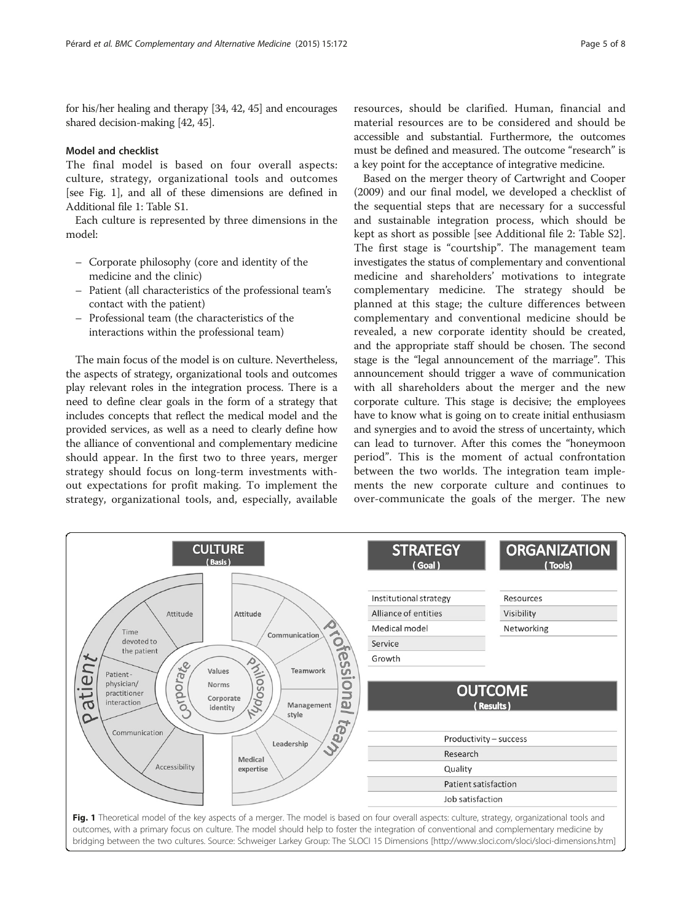for his/her healing and therapy [\[34](#page-7-0), [42, 45](#page-7-0)] and encourages shared decision-making [\[42](#page-7-0), [45\]](#page-7-0).

## Model and checklist

The final model is based on four overall aspects: culture, strategy, organizational tools and outcomes [see Fig. 1], and all of these dimensions are defined in Additional file [1](#page-6-0): Table S1.

Each culture is represented by three dimensions in the model:

- Corporate philosophy (core and identity of the medicine and the clinic)
- Patient (all characteristics of the professional team's contact with the patient)
- Professional team (the characteristics of the interactions within the professional team)

The main focus of the model is on culture. Nevertheless, the aspects of strategy, organizational tools and outcomes play relevant roles in the integration process. There is a need to define clear goals in the form of a strategy that includes concepts that reflect the medical model and the provided services, as well as a need to clearly define how the alliance of conventional and complementary medicine should appear. In the first two to three years, merger strategy should focus on long-term investments without expectations for profit making. To implement the strategy, organizational tools, and, especially, available resources, should be clarified. Human, financial and material resources are to be considered and should be accessible and substantial. Furthermore, the outcomes must be defined and measured. The outcome "research" is a key point for the acceptance of integrative medicine.

Based on the merger theory of Cartwright and Cooper (2009) and our final model, we developed a checklist of the sequential steps that are necessary for a successful and sustainable integration process, which should be kept as short as possible [see Additional file [2](#page-6-0): Table S2]. The first stage is "courtship". The management team investigates the status of complementary and conventional medicine and shareholders' motivations to integrate complementary medicine. The strategy should be planned at this stage; the culture differences between complementary and conventional medicine should be revealed, a new corporate identity should be created, and the appropriate staff should be chosen. The second stage is the "legal announcement of the marriage". This announcement should trigger a wave of communication with all shareholders about the merger and the new corporate culture. This stage is decisive; the employees have to know what is going on to create initial enthusiasm and synergies and to avoid the stress of uncertainty, which can lead to turnover. After this comes the "honeymoon period". This is the moment of actual confrontation between the two worlds. The integration team implements the new corporate culture and continues to over-communicate the goals of the merger. The new

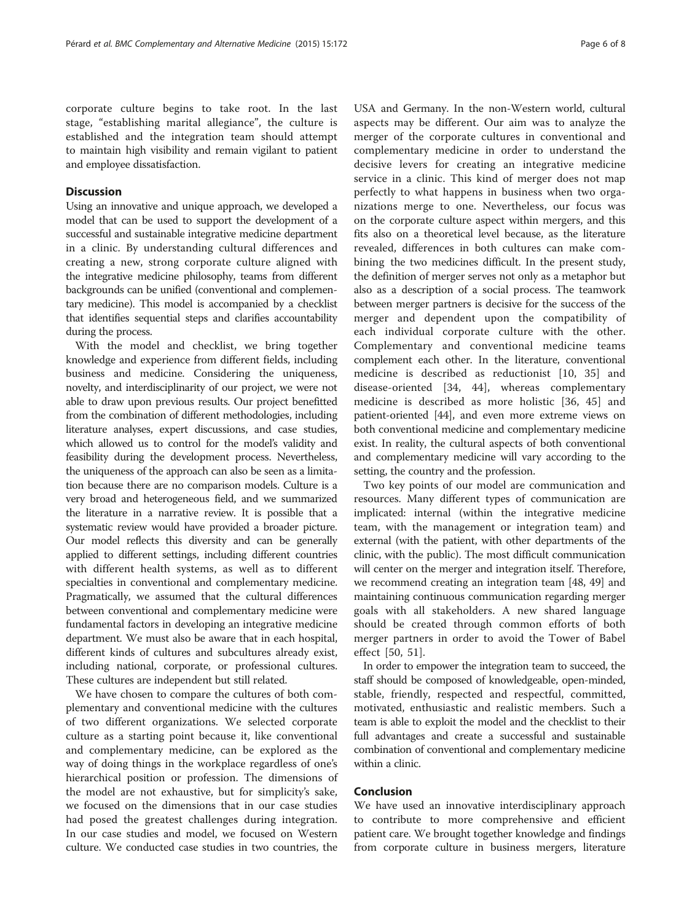corporate culture begins to take root. In the last stage, "establishing marital allegiance", the culture is established and the integration team should attempt to maintain high visibility and remain vigilant to patient and employee dissatisfaction.

#### **Discussion**

Using an innovative and unique approach, we developed a model that can be used to support the development of a successful and sustainable integrative medicine department in a clinic. By understanding cultural differences and creating a new, strong corporate culture aligned with the integrative medicine philosophy, teams from different backgrounds can be unified (conventional and complementary medicine). This model is accompanied by a checklist that identifies sequential steps and clarifies accountability during the process.

With the model and checklist, we bring together knowledge and experience from different fields, including business and medicine. Considering the uniqueness, novelty, and interdisciplinarity of our project, we were not able to draw upon previous results. Our project benefitted from the combination of different methodologies, including literature analyses, expert discussions, and case studies, which allowed us to control for the model's validity and feasibility during the development process. Nevertheless, the uniqueness of the approach can also be seen as a limitation because there are no comparison models. Culture is a very broad and heterogeneous field, and we summarized the literature in a narrative review. It is possible that a systematic review would have provided a broader picture. Our model reflects this diversity and can be generally applied to different settings, including different countries with different health systems, as well as to different specialties in conventional and complementary medicine. Pragmatically, we assumed that the cultural differences between conventional and complementary medicine were fundamental factors in developing an integrative medicine department. We must also be aware that in each hospital, different kinds of cultures and subcultures already exist, including national, corporate, or professional cultures. These cultures are independent but still related.

We have chosen to compare the cultures of both complementary and conventional medicine with the cultures of two different organizations. We selected corporate culture as a starting point because it, like conventional and complementary medicine, can be explored as the way of doing things in the workplace regardless of one's hierarchical position or profession. The dimensions of the model are not exhaustive, but for simplicity's sake, we focused on the dimensions that in our case studies had posed the greatest challenges during integration. In our case studies and model, we focused on Western culture. We conducted case studies in two countries, the

USA and Germany. In the non-Western world, cultural aspects may be different. Our aim was to analyze the merger of the corporate cultures in conventional and complementary medicine in order to understand the decisive levers for creating an integrative medicine service in a clinic. This kind of merger does not map perfectly to what happens in business when two organizations merge to one. Nevertheless, our focus was on the corporate culture aspect within mergers, and this fits also on a theoretical level because, as the literature revealed, differences in both cultures can make combining the two medicines difficult. In the present study, the definition of merger serves not only as a metaphor but also as a description of a social process. The teamwork between merger partners is decisive for the success of the merger and dependent upon the compatibility of each individual corporate culture with the other. Complementary and conventional medicine teams complement each other. In the literature, conventional medicine is described as reductionist [\[10](#page-6-0), [35](#page-7-0)] and disease-oriented [[34, 44](#page-7-0)], whereas complementary medicine is described as more holistic [\[36](#page-7-0), [45](#page-7-0)] and patient-oriented [[44](#page-7-0)], and even more extreme views on both conventional medicine and complementary medicine exist. In reality, the cultural aspects of both conventional and complementary medicine will vary according to the setting, the country and the profession.

Two key points of our model are communication and resources. Many different types of communication are implicated: internal (within the integrative medicine team, with the management or integration team) and external (with the patient, with other departments of the clinic, with the public). The most difficult communication will center on the merger and integration itself. Therefore, we recommend creating an integration team [[48](#page-7-0), [49](#page-7-0)] and maintaining continuous communication regarding merger goals with all stakeholders. A new shared language should be created through common efforts of both merger partners in order to avoid the Tower of Babel effect [[50, 51\]](#page-7-0).

In order to empower the integration team to succeed, the staff should be composed of knowledgeable, open-minded, stable, friendly, respected and respectful, committed, motivated, enthusiastic and realistic members. Such a team is able to exploit the model and the checklist to their full advantages and create a successful and sustainable combination of conventional and complementary medicine within a clinic.

## Conclusion

We have used an innovative interdisciplinary approach to contribute to more comprehensive and efficient patient care. We brought together knowledge and findings from corporate culture in business mergers, literature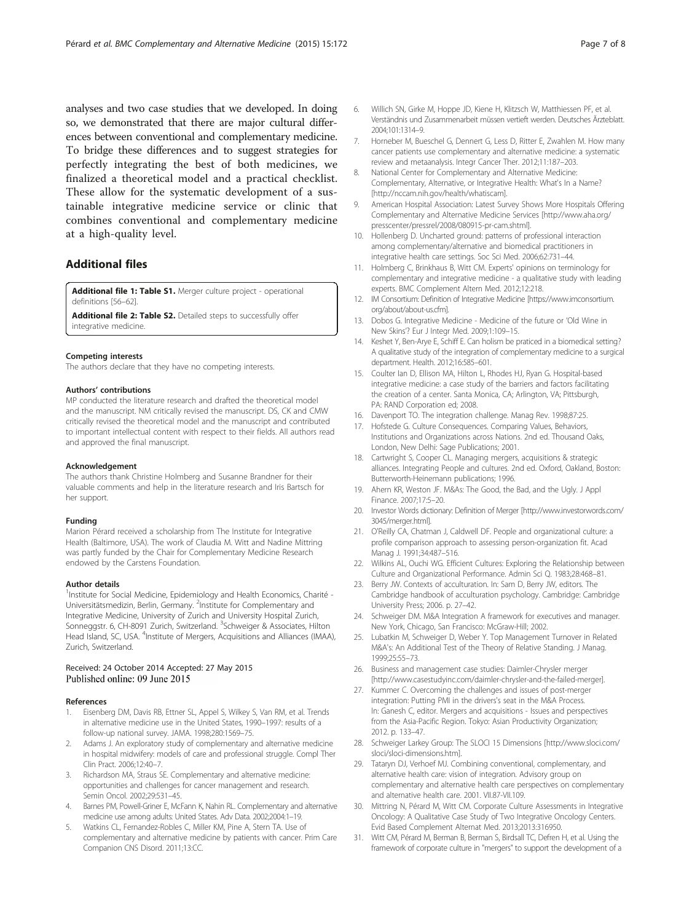<span id="page-6-0"></span>analyses and two case studies that we developed. In doing so, we demonstrated that there are major cultural differences between conventional and complementary medicine. To bridge these differences and to suggest strategies for perfectly integrating the best of both medicines, we finalized a theoretical model and a practical checklist. These allow for the systematic development of a sustainable integrative medicine service or clinic that combines conventional and complementary medicine at a high-quality level.

### Additional files

[Additional file 1: Table S1.](http://www.biomedcentral.com/content/supplementary/s12906-015-0696-2-s1.doc) Merger culture project - operational definitions [\[56](#page-7-0)–[62\]](#page-7-0).

[Additional file 2: Table S2.](http://www.biomedcentral.com/content/supplementary/s12906-015-0696-2-s2.doc) Detailed steps to successfully offer integrative medicine.

#### Competing interests

The authors declare that they have no competing interests.

#### Authors' contributions

MP conducted the literature research and drafted the theoretical model and the manuscript. NM critically revised the manuscript. DS, CK and CMW critically revised the theoretical model and the manuscript and contributed to important intellectual content with respect to their fields. All authors read and approved the final manuscript.

#### Acknowledgement

The authors thank Christine Holmberg and Susanne Brandner for their valuable comments and help in the literature research and Iris Bartsch for her support.

#### Funding

Marion Pérard received a scholarship from The Institute for Integrative Health (Baltimore, USA). The work of Claudia M. Witt and Nadine Mittring was partly funded by the Chair for Complementary Medicine Research endowed by the Carstens Foundation.

#### Author details

<sup>1</sup>Institute for Social Medicine, Epidemiology and Health Economics, Charité -Universitätsmedizin, Berlin, Germany. <sup>2</sup>Institute for Complementary and Integrative Medicine, University of Zurich and University Hospital Zurich, Sonneggstr. 6, CH-8091 Zurich, Switzerland. <sup>3</sup>Schweiger & Associates, Hilton Head Island, SC, USA. <sup>4</sup>Institute of Mergers, Acquisitions and Alliances (IMAA), Zurich, Switzerland.

#### Received: 24 October 2014 Accepted: 27 May 2015 Published online: 09 June 2015

#### References

- 1. Eisenberg DM, Davis RB, Ettner SL, Appel S, Wilkey S, Van RM, et al. Trends in alternative medicine use in the United States, 1990–1997: results of a follow-up national survey. JAMA. 1998;280:1569–75.
- Adams J. An exploratory study of complementary and alternative medicine in hospital midwifery: models of care and professional struggle. Compl Ther Clin Pract. 2006;12:40–7.
- 3. Richardson MA, Straus SE. Complementary and alternative medicine: opportunities and challenges for cancer management and research. Semin Oncol. 2002;29:531–45.
- 4. Barnes PM, Powell-Griner E, McFann K, Nahin RL. Complementary and alternative medicine use among adults: United States. Adv Data. 2002;2004:1–19.
- 5. Watkins CL, Fernandez-Robles C, Miller KM, Pine A, Stern TA. Use of complementary and alternative medicine by patients with cancer. Prim Care Companion CNS Disord. 2011;13:CC.
- 6. Willich SN, Girke M, Hoppe JD, Kiene H, Klitzsch W, Matthiessen PF, et al. Verständnis und Zusammenarbeit müssen vertieft werden. Deutsches Ärzteblatt. 2004;101:1314–9.
- 7. Horneber M, Bueschel G, Dennert G, Less D, Ritter E, Zwahlen M. How many cancer patients use complementary and alternative medicine: a systematic review and metaanalysis. Integr Cancer Ther. 2012;11:187–203.
- 8. National Center for Complementary and Alternative Medicine: Complementary, Alternative, or Integrative Health: What's In a Name? [[http://nccam.nih.gov/health/whatiscam\]](http://nccam.nih.gov/health/whatiscam).
- 9. American Hospital Association: Latest Survey Shows More Hospitals Offering Complementary and Alternative Medicine Services [\[http://www.aha.org/](http://www.aha.org/presscenter/pressrel/2008/080915-pr-cam.shtml) [presscenter/pressrel/2008/080915-pr-cam.shtml](http://www.aha.org/presscenter/pressrel/2008/080915-pr-cam.shtml)].
- 10. Hollenberg D. Uncharted ground: patterns of professional interaction among complementary/alternative and biomedical practitioners in integrative health care settings. Soc Sci Med. 2006;62:731–44.
- 11. Holmberg C, Brinkhaus B, Witt CM. Experts' opinions on terminology for complementary and integrative medicine - a qualitative study with leading experts. BMC Complement Altern Med. 2012;12:218.
- 12. IM Consortium: Definition of Integrative Medicine [[https://www.imconsortium.](https://www.imconsortium.org/about/about-us.cfm) [org/about/about-us.cfm\]](https://www.imconsortium.org/about/about-us.cfm).
- 13. Dobos G. Integrative Medicine Medicine of the future or 'Old Wine in New Skins'? Eur J Integr Med. 2009;1:109–15.
- 14. Keshet Y, Ben-Arye E, Schiff E. Can holism be praticed in a biomedical setting? A qualitative study of the integration of complementary medicine to a surgical department. Health. 2012;16:585–601.
- 15. Coulter Ian D, Ellison MA, Hilton L, Rhodes HJ, Ryan G. Hospital-based integrative medicine: a case study of the barriers and factors facilitating the creation of a center. Santa Monica, CA; Arlington, VA; Pittsburgh, PA: RAND Corporation ed; 2008.
- 16. Davenport TO. The integration challenge. Manag Rev. 1998;87:25.
- 17. Hofstede G. Culture Consequences. Comparing Values, Behaviors, Institutions and Organizations across Nations. 2nd ed. Thousand Oaks, London, New Delhi: Sage Publications; 2001.
- 18. Cartwright S, Cooper CL. Managing mergers, acquisitions & strategic alliances. Integrating People and cultures. 2nd ed. Oxford, Oakland, Boston: Butterworth-Heinemann publications; 1996.
- 19. Ahern KR, Weston JF. M&As: The Good, the Bad, and the Ugly. J Appl Finance. 2007;17:5–20.
- 20. Investor Words dictionary: Definition of Merger [\[http://www.investorwords.com/](http://www.investorwords.com/3045/merger.html) [3045/merger.html](http://www.investorwords.com/3045/merger.html)].
- 21. O'Reilly CA, Chatman J, Caldwell DF. People and organizational culture: a profile comparison approach to assessing person-organization fit. Acad Manag J. 1991;34:487–516.
- 22. Wilkins AL, Ouchi WG. Efficient Cultures: Exploring the Relationship between Culture and Organizational Performance. Admin Sci Q. 1983;28:468–81.
- 23. Berry JW. Contexts of acculturation. In: Sam D, Berry JW, editors. The Cambridge handbook of acculturation psychology. Cambridge: Cambridge University Press; 2006. p. 27–42.
- 24. Schweiger DM. M&A Integration A framework for executives and manager. New York, Chicago, San Francisco: McGraw-Hill; 2002.
- 25. Lubatkin M, Schweiger D, Weber Y. Top Management Turnover in Related M&A's: An Additional Test of the Theory of Relative Standing. J Manag. 1999;25:55–73.
- 26. Business and management case studies: Daimler-Chrysler merger [[http://www.casestudyinc.com/daimler-chrysler-and-the-failed-merger\]](http://www.casestudyinc.com/daimler-chrysler-and-the-failed-merger).
- 27. Kummer C. Overcoming the challenges and issues of post-merger integration: Putting PMI in the drivers's seat in the M&A Process. In: Ganesh C, editor. Mergers and acquisitions - Issues and perspectives from the Asia-Pacific Region. Tokyo: Asian Productivity Organization; 2012. p. 133–47.
- 28. Schweiger Larkey Group: The SLOCI 15 Dimensions [\[http://www.sloci.com/](http://www.sloci.com/sloci/sloci-dimensions.htm) [sloci/sloci-dimensions.htm\]](http://www.sloci.com/sloci/sloci-dimensions.htm).
- 29. Tataryn DJ, Verhoef MJ. Combining conventional, complementary, and alternative health care: vision of integration. Advisory group on complementary and alternative health care perspectives on complementary and alternative health care. 2001. VII.87-VII.109.
- 30. Mittring N, Pérard M, Witt CM. Corporate Culture Assessments in Integrative Oncology: A Qualitative Case Study of Two Integrative Oncology Centers. Evid Based Complement Alternat Med. 2013;2013:316950.
- 31. Witt CM, Pérard M, Berman B, Berman S, Birdsall TC, Defren H, et al. Using the framework of corporate culture in "mergers" to support the development of a